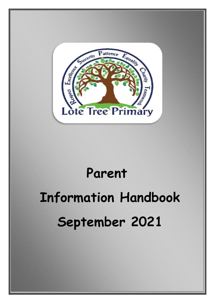

## **Parent**

# **Information Handbook September 2021**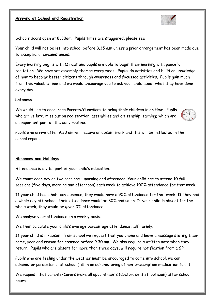#### **Arriving at School and Registration**



Schools doors open at **8.30am**. Pupils times are staggered, please see

Your child will not be let into school before 8.35 a.m unless a prior arrangement has been made due to exceptional circumstances.

Every morning begins with **Qiraat** and pupils are able to begin their morning with peaceful recitation. We have set assembly themes every week. Pupils do activities and build on knowledge of how to become better citizens through awareness and focussed activities. Pupils gain much from this valuable time and we would encourage you to ask your child about what they have done every day.

#### **Lateness**

We would like to encourage Parents/Guardians to bring their children in on time. Pupils who arrive late, miss out on registration, assemblies and citizenship learning; which are an important part of the daily routine.



Pupils who arrive after 9.30 am will receive an absent mark and this will be reflected in their school report.

#### **Absences and Holidays**

Attendance is a vital part of your child's education.

We count each day as two sessions – morning and afternoon. Your child has to attend 10 full sessions (five days, morning and afternoon) each week to achieve 100% attendance for that week.

If your child has a half-day absence, they would have a 90% attendance for that week. If they had a whole day off school, their attendance would be 80% and so on. If your child is absent for the whole week, they would be given 0% attendance.

We analyse your attendance on a weekly basis.

We then calculate your child's average percentage attendance half termly.

If your child is ill/absent from school we request that you phone and leave a message stating their name, year and reason for absence before 9.30 am. We also require a written note when they return. Pupils who are absent for more than three days, will require notification from a GP.

Pupils who are feeling under the weather must be encouraged to come into school, we can administer paracetamol at school (fill in an administering of non-prescription medication form)

We request that parents/Carers make all appointments (doctor, dentist, optician) after school hours.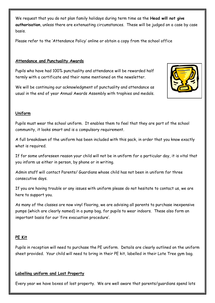We request that you do not plan family holidays during term time as the **Head will not give authorisation**, unless there are extenuating circumstances. These will be judged on a case by case basis.

Please refer to the 'Attendance Policy' online or obtain a copy from the school office

#### **Attendance and Punctuality Awards**

Pupils who have had 100% punctuality and attendance will be rewarded half termly with a certificate and their name mentioned on the newsletter.

We will be continuing our acknowledgment of punctuality and attendance as usual in the end of year Annual Awards Assembly with trophies and medals.

#### **Uniform**

Pupils must wear the school uniform. It enables them to feel that they are part of the school community, it looks smart and is a compulsory requirement.

A full breakdown of the uniform has been included with this pack, in order that you know exactly what is required.

If for some unforeseen reason your child will not be in uniform for a particular day, it is vital that you inform us either in person, by phone or in writing.

Admin staff will contact Parents/ Guardians whose child has not been in uniform for three consecutive days.

If you are having trouble or any issues with uniform please do not hesitate to contact us, we are here to support you.

As many of the classes are now vinyl flooring, we are advising all parents to purchase inexpensive pumps (which are clearly named) in a pump bag, for pupils to wear indoors. These also form an important basis for our 'fire evacuation procedure'.

#### **PE Kit**

Pupils in reception will need to purchase the PE uniform. Details are clearly outlined on the uniform sheet provided. Your child will need to bring in their PE kit, labelled in their Lote Tree gym bag.

#### **Labelling uniform and Lost Property**

Every year we have boxes of lost property. We are well aware that parents/guardians spend lots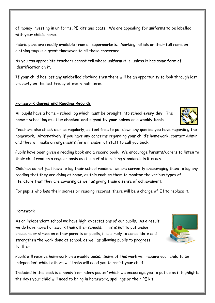of money investing in uniforms, PE kits and coats. We are appealing for uniforms to be labelled with your child's name.

Fabric pens are readily available from all supermarkets. Marking initials or their full name on clothing tags is a great timesaver to all those concerned.

As you can appreciate teachers cannot tell whose uniform it is, unless it has some form of identification on it.

If your child has lost any unlabelled clothing then there will be an opportunity to look through lost property on the last Friday of every half term.

#### **Homework diaries and Reading Records**

All pupils have a home – school log which must be brought into school **every day**. The home – school log must be **checked and signed** by **your selves** on a **weekly basis**.

Teachers also check diaries regularly, so feel free to put down any queries you have regarding the homework. Alternatively if you have any concerns regarding your child's homework, contact Admin and they will make arrangements for a member of staff to call you back.

Pupils have been given a reading book and a record book. We encourage Parents/Carers to listen to their child read on a regular basis as it is a vital in raising standards in literacy.

Children do not just have to log their school readers, we are currently encouraging them to log any reading that they are doing at home, as this enables them to monitor the various types of literature that they are covering as well as giving them a sense of achievement.

For pupils who lose their diaries or reading records, there will be a charge of £1 to replace it.

#### **Homework**

As an independent school we have high expectations of our pupils. As a result we do have more homework than other schools. This is not to put undue pressure or stress on either parents or pupils, it is simply to consolidate and strengthen the work done at school, as well as allowing pupils to progress further.

Pupils will receive homework on a weekly basis. Some of this work will require your child to be independent whilst others will tasks will need you to assist your child.

Included in this pack is a handy 'reminders poster' which we encourage you to put up as it highlights the days your child will need to bring in homework, spellings or their PE kit.



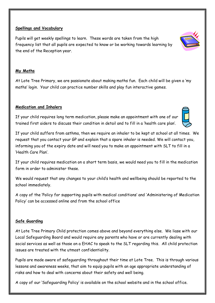#### **Spellings and Vocabulary**

Pupils will get weekly spellings to learn. These words are taken from the high frequency list that all pupils are expected to know or be working towards learning by the end of the Reception year.

#### **My Maths**

At Lote Tree Primary, we are passionate about making maths fun. Each child will be given a 'my maths' login. Your child can practice number skills and play fun interactive games.

#### **Medication and Inhalers**

If your child requires long term medication, please make an appointment with one of our trained first aiders to discuss their condition in detail and to fill in a 'health care plan'.

If your child suffers from asthma, then we require an inhaler to be kept at school at all times. We request that you contact your GP and explain that a spare inhaler is needed. We will contact you, informing you of the expiry date and will need you to make an appointment with SLT to fill in a 'Health Care Plan'.

If your child requires medication on a short term basis, we would need you to fill in the medication form in order to administer these.

We would request that any changes to your child's health and wellbeing should be reported to the school immediately.

A copy of the 'Policy for supporting pupils with medical conditions' and 'Administering of Medication Policy' can be accessed online and from the school office

#### **Safe Guarding**

At Lote Tree Primary Child protection comes above and beyond everything else. We liase with our Local Safeguarding Board and would require any parents who have or are currently dealing with social services as well as those on a EHAC to speak to the SLT regarding this. All child protection issues are treated with the utmost confidentiality.

Pupils are made aware of safeguarding throughout their time at Lote Tree. This is through various lessons and awareness weeks, that aim to equip pupils with an age appropriate understanding of risks and how to deal with concerns about their safety and well being.

A copy of our 'Safeguarding Policy' is available on the school website and in the school office.



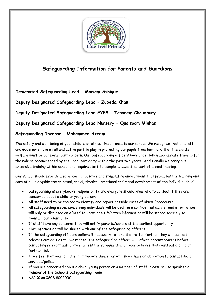

### **Safeguarding Information for Parents and Guardians**

**Designated Safeguarding Lead – Mariam Ashique**

**Deputy Designated Safeguarding Lead – Zubeda Khan**

**Deputy Designated Safeguarding Lead EYFS – Tasneem Choudhury**

**Deputy Designated Safeguarding Lead Nursery – Qualsoom Minhas**

#### **Safeguarding Govenor – Mohammed Azeem**

The safety and well-being of your child is of utmost importance to our school. We recognise that all staff and Governors have a full and active part to play in protecting our pupils from harm and that the child's welfare must be our paramount concern. Our Safeguarding officers have undertaken appropriate training for the role as recommended by the Local Authority within the past two years. Additionally we carry out extensive training within school and require staff to complete Level 2 as part of annual training.

Our school should provide a safe, caring, positive and stimulating environment that promotes the learning and care of all, alongside the spiritual, social, physical, emotional and moral development of the individual child

- Safeguarding is everybody's responsibility and everyone should know who to contact if they are concerned about a child or young person
- All staff need to be trained to identify and report possible cases of abuse Procedures:
- All safeguarding issues concerning individuals will be dealt in a confidential manner and information will only be disclosed on a 'need to know' basis. Written information will be stored securely to maintain confidentiality
- If staff have any concerns they will notify parents/carers at the earliest opportunity
- This information will be shared with one of the safeguarding officers
- If the safeguarding officers believe it necessary to take the matter further they will contact relevant authorities to investigate. The safeguarding officer will inform parents/carers before contacting relevant authorities, unless the safeguarding officer believes this could put a child at further risk
- If we feel that your child is in immediate danger or at risk we have an obligation to contact social services/police
- If you are concerned about a child, young person or a member of staff, please ask to speak to a member of the School's Safeguarding Team
- NSPCC on 0808 8005000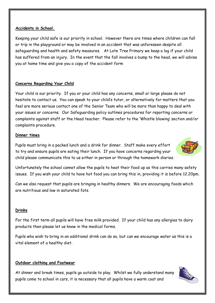#### **Accidents in School.**

Keeping your child safe is our priority in school. However there are times where children can fall or trip in the playground or may be involved in an accident that was unforeseen despite all safeguarding and health and safety measures. At Lote Tree Primary we keep a log if your child has suffered from an injury. In the event that the fall involves a bump to the head, we will advise you at home time and give you a copy of the accident form

#### **Concerns Regarding Your Child**

Your child is our priority. If you or your child has any concerns, small or large please do not hesitate to contact us. You can speak to your child's tutor, or alternatively for matters that you feel are more serious contact one of the Senior Team who will be more than happy to deal with your issues or concerns. Our Safeguarding policy outlines procedures for reporting concerns or complaints against staff or the Head teacher. Please refer to the 'Whistle blowing' section and/or complaints procedure.

#### **Dinner times**

Pupils must bring in a packed lunch and a drink for dinner. Staff make every effort to try and ensure pupils are eating their lunch. If you have concerns regarding your child please communicate this to us either in person or through the homework diaries.



Unfortunately the school cannot allow the pupils to heat their food up as this carries many safety issues. If you wish your child to have hot food you can bring this in, providing it is before 12.20pm.

Can we also request that pupils are bringing in healthy dinners. We are encouraging foods which are nutritious and low in saturated fats.

#### **Drinks**

For the first term all pupils will have free milk provided. If your child has any allergies to dairy products then please let us know in the medical forms.

Pupils who wish to bring in an additional drink can do so, but can we encourage water as this is a vital element of a healthy diet.

#### **Outdoor clothing and Footwear**

At dinner and break times, pupils go outside to play. Whilst we fully understand many pupils come to school in cars, it is necessary that all pupils have a warm coat and

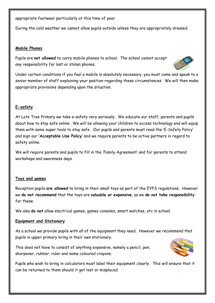appropriate footwear particularly at this time of year.

During the cold weather we cannot allow pupils outside unless they are appropriately dressed.

#### **Mobile Phones**

Pupils are **not allowed** to carry mobile phones to school. The school cannot accept any responsibility for lost or stolen phones.



Under certain conditions if you feel a mobile is absolutely necessary, you must come and speak to a senior member of staff explaining your position regarding these circumstances. We will then make appropriate provisions depending upon the situation.

#### **E-safety**

At Lote Tree Primary we take e-safety very seriously. We educate our staff, parents and pupils about how to stay safe online. We will be allowing your children to access technology and will equip them with some super tools to stay safe. Our pupils and parents must read the 'E-Safety Policy' and sign our **'Acceptable Use Policy'** and we require parents to be active partners in regard to safety online.

We will require parents and pupils to fill in the 'Family Agreement' and for parents to attend workshops and awareness days.

#### **Toys and games**

Reception pupils **are allowed** to bring in their small toys as part of the EYFS regulations. However we **do not recommend** that the toys are **valuable or expensive**, as we **do not take responsibility** for these.

We also **do not** allow electrical games, games consoles, smart watches, etc in school.

#### **Equipment and Stationary**

As a school we provide pupils with all of the equipment they need. However we recommend that pupils in upper primary bring in their own stationary.

This does not have to consist of anything expensive, namely a pencil, pen, sharpener, rubber, ruler and some coloured crayons.



Pupils who wish to bring in calculators must label their equipment clearly. This will ensure that it can be returned to them should it get lost or misplaced.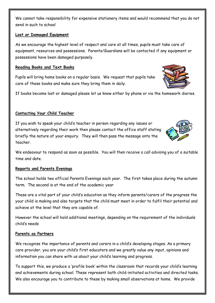We cannot take responsibility for expensive stationery items and would recommend that you do not send in such to school

#### **Lost or Damaged Equipment**

As we encourage the highest level of respect and care at all times, pupils must take care of equipment, resources and possessions. Parents/Guardians will be contacted if any equipment or possessions have been damaged purposely.

#### **Reading Books and Text Books**

Pupils will bring home books on a regular basis. We request that pupils take care of these books and make sure they bring them in daily.

If books become lost or damaged please let us know either by phone or via the homework diaries.

#### **Contacting Your Child Teacher**

If you wish to speak your child's teacher in person regarding any issues or alternatively regarding their work then please contact the office staff stating briefly the nature of your enquiry. They will then pass the message onto the teacher.

We endeavour to respond as soon as possible. You will then receive a call advising you of a suitable time and date.

#### **Reports and Parents Evenings**

The school holds two official Parents Evenings each year. The first takes place during the autumn term. The second is at the end of the academic year

These are a vital part of your child's education as they inform parents/carers of the progress the your child is making and also targets that the child must meet in order to fulfil their potential and achieve at the level that they are capable of.

However the school will hold additional meetings, depending on the requirement of the individuals child's needs

#### **Parents as Partners**

We recognise the importance of parents and carers in a child's developing stages. As a primary care provider, you are your child's first educators and we greatly value any input, opinions and information you can share with us about your child's learning and progress.

To support this, we produce a 'profile book' within the classroom that records your child's learning and achievements during school. These represent both child-initiated activities and directed tasks. We also encourage you to contribute to these by making small observations at home. We provide



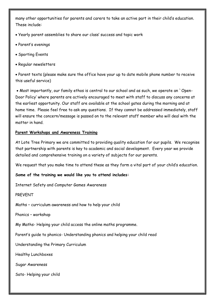many other opportunities for parents and carers to take an active part in their child's education. These include:

- Yearly parent assemblies to share our class' success and topic work
- Parent's evenings
- Sporting Events
- Regular newsletters

 Parent texts (please make sure the office have your up to date mobile phone number to receive this useful service)

 Most importantly, our family ethos is central to our school and as such, we operate an `Open-Door Policy' where parents are actively encouraged to meet with staff to discuss any concerns at the earliest opportunity. Our staff are available at the school gates during the morning and at home time. Please feel free to ask any questions. If they cannot be addressed immediately, staff will ensure the concern/message is passed on to the relevant staff member who will deal with the matter in hand.

#### **Parent Workshops and Awareness Training**

At Lote Tree Primary we are committed to providing quality education for our pupils. We recognise that partnership with parents is key to academic and social development. Every year we provide detailed and comprehensive training on a variety of subjects for our parents.

We request that you make time to attend these as they form a vital part of your child's education.

#### **Some of the training we would like you to attend includes:**

Internet Safety and Computer Games Awareness

PREVENT

Maths – curriculum awareness and how to help your child

Phonics – workshop

My Maths- Helping your child access the online maths programme.

Parent's guide to phonics- Understanding phonics and helping your child read

Understanding the Primary Curriculum

Healthy Lunchboxes

Sugar Awareness

Sats- Helping your child